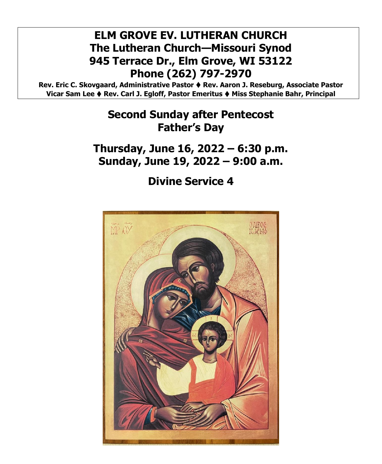# **ELM GROVE EV. LUTHERAN CHURCH The Lutheran Church—Missouri Synod 945 Terrace Dr., Elm Grove, WI 53122 Phone (262) 797-2970**

**Rev. Eric C. Skovgaard, Administrative Pastor** ⧫ **Rev. Aaron J. Reseburg, Associate Pastor Vicar Sam Lee** ⧫ **Rev. Carl J. Egloff, Pastor Emeritus** ⧫ **Miss Stephanie Bahr, Principal**

# **Second Sunday after Pentecost Father's Day**

**Thursday, June 16, 2022 – 6:30 p.m. Sunday, June 19, 2022 – 9:00 a.m.**

**Divine Service 4**

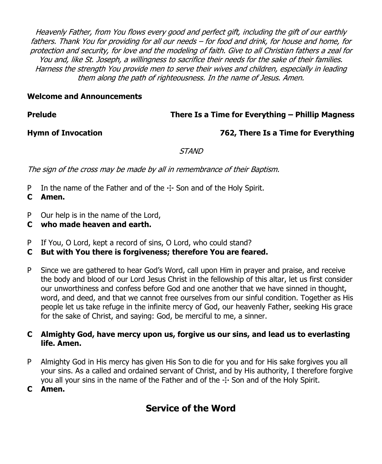Heavenly Father, from You flows every good and perfect gift, including the gift of our earthly fathers. Thank You for providing for all our needs – for food and drink, for house and home, for protection and security, for love and the modeling of faith. Give to all Christian fathers a zeal for You and, like St. Joseph, a willingness to sacrifice their needs for the sake of their families. Harness the strength You provide men to serve their wives and children, especially in leading them along the path of righteousness. In the name of Jesus. Amen.

## **Welcome and Announcements**

## **Prelude There Is a Time for Everything – Phillip Magness**

## **Hymn of Invocation 762, There Is a Time for Everything**

STAND

The sign of the cross may be made by all in remembrance of their Baptism.

- P In the name of the Father and of the  $\pm$  Son and of the Holy Spirit.
- **C Amen.**
- P Our help is in the name of the Lord,
- **C who made heaven and earth.**
- P If You, O Lord, kept a record of sins, O Lord, who could stand?
- **C But with You there is forgiveness; therefore You are feared.**
- P Since we are gathered to hear God's Word, call upon Him in prayer and praise, and receive the body and blood of our Lord Jesus Christ in the fellowship of this altar, let us first consider our unworthiness and confess before God and one another that we have sinned in thought, word, and deed, and that we cannot free ourselves from our sinful condition. Together as His people let us take refuge in the infinite mercy of God, our heavenly Father, seeking His grace for the sake of Christ, and saying: God, be merciful to me, a sinner.

## **C Almighty God, have mercy upon us, forgive us our sins, and lead us to everlasting life. Amen.**

- P Almighty God in His mercy has given His Son to die for you and for His sake forgives you all your sins. As a called and ordained servant of Christ, and by His authority, I therefore forgive you all your sins in the name of the Father and of the  $\pm$  Son and of the Holy Spirit.
- **C Amen.**

## **Service of the Word**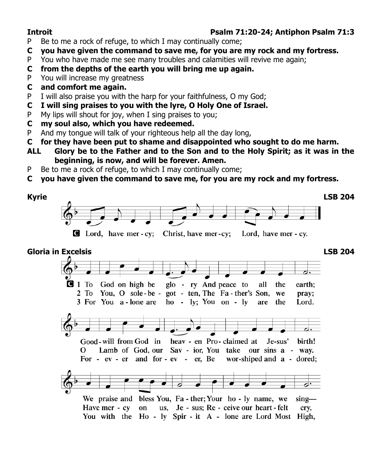## **Introit Psalm 71:20-24; Antiphon Psalm 71:3**

- P Be to me a rock of refuge, to which I may continually come;
- **C you have given the command to save me, for you are my rock and my fortress.**
- P You who have made me see many troubles and calamities will revive me again;
- **C from the depths of the earth you will bring me up again.**
- P You will increase my greatness
- **C and comfort me again.**
- P I will also praise you with the harp for your faithfulness, O my God;
- **C I will sing praises to you with the lyre, O Holy One of Israel.**
- P My lips will shout for joy, when I sing praises to you;
- **C my soul also, which you have redeemed.**
- P And my tongue will talk of your righteous help all the day long,
- **C for they have been put to shame and disappointed who sought to do me harm.**
- **ALL Glory be to the Father and to the Son and to the Holy Spirit; as it was in the beginning, is now, and will be forever. Amen.**
- P Be to me a rock of refuge, to which I may continually come;
- **C you have given the command to save me, for you are my rock and my fortress.**



You with the Ho - ly Spir - it A - lone are Lord Most High,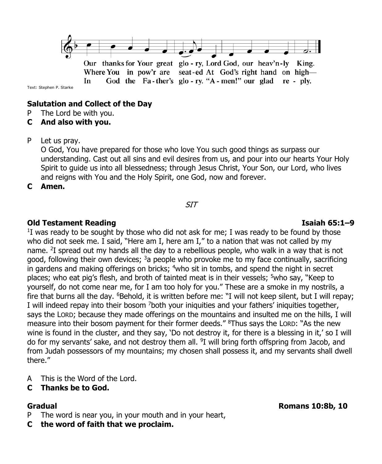

Our thanks for Your great glo - ry, Lord God, our heav'n-ly King. Where You in pow'r are seat-ed At God's right hand on high-God the Fa-ther's glo-ry. "A-men!" our glad re-ply. **In** 

Text: Stephen P. Starke

## **Salutation and Collect of the Day**

- P The Lord be with you.
- **C And also with you.**

### P Let us pray.

O God, You have prepared for those who love You such good things as surpass our understanding. Cast out all sins and evil desires from us, and pour into our hearts Your Holy Spirit to guide us into all blessedness; through Jesus Christ, Your Son, our Lord, who lives and reigns with You and the Holy Spirit, one God, now and forever.

**C Amen.**

SIT

### **Old Testament Reading Isaiah 65:1–9**

<sup>1</sup>I was ready to be sought by those who did not ask for me; I was ready to be found by those who did not seek me. I said, "Here am I, here am I," to a nation that was not called by my name. <sup>2</sup>I spread out my hands all the day to a rebellious people, who walk in a way that is not good, following their own devices;  $3a$  people who provoke me to my face continually, sacrificing in gardens and making offerings on bricks; <sup>4</sup>who sit in tombs, and spend the night in secret places; who eat pig's flesh, and broth of tainted meat is in their vessels; <sup>5</sup>who say, "Keep to yourself, do not come near me, for I am too holy for you." These are a smoke in my nostrils, a fire that burns all the day. <sup>6</sup>Behold, it is written before me: "I will not keep silent, but I will repay; I will indeed repay into their bosom <sup>7</sup>both your iniquities and your fathers' iniquities together, says the LORD; because they made offerings on the mountains and insulted me on the hills, I will measure into their bosom payment for their former deeds." <sup>8</sup>Thus says the LORD: "As the new wine is found in the cluster, and they say, 'Do not destroy it, for there is a blessing in it,' so I will do for my servants' sake, and not destroy them all. <sup>9</sup>I will bring forth offspring from Jacob, and from Judah possessors of my mountains; my chosen shall possess it, and my servants shall dwell there."

- A This is the Word of the Lord.
- **C Thanks be to God.**

- P The word is near you, in your mouth and in your heart,
- **C the word of faith that we proclaim.**

**Gradual Romans 10:8b, 10**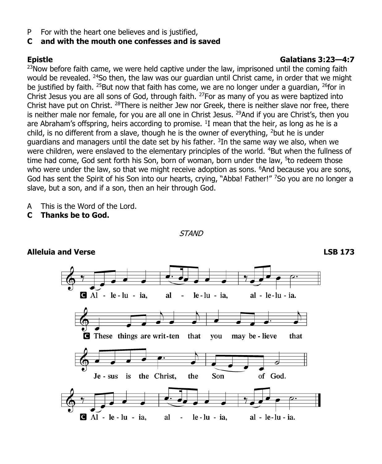P For with the heart one believes and is justified,

## **C and with the mouth one confesses and is saved**

## **Epistle Galatians 3:23—4:7**

 $23$ Now before faith came, we were held captive under the law, imprisoned until the coming faith would be revealed, <sup>24</sup>So then, the law was our guardian until Christ came, in order that we might be justified by faith. <sup>25</sup>But now that faith has come, we are no longer under a guardian, <sup>26</sup>for in Christ Jesus you are all sons of God, through faith. <sup>27</sup>For as many of you as were baptized into Christ have put on Christ. <sup>28</sup>There is neither Jew nor Greek, there is neither slave nor free, there is neither male nor female, for you are all one in Christ Jesus.  $^{29}$ And if you are Christ's, then you are Abraham's offspring, heirs according to promise.  $^{1}$ I mean that the heir, as long as he is a child, is no different from a slave, though he is the owner of everything,  $2$  but he is under guardians and managers until the date set by his father. <sup>3</sup>In the same way we also, when we were children, were enslaved to the elementary principles of the world. <sup>4</sup>But when the fullness of time had come, God sent forth his Son, born of woman, born under the law, <sup>5</sup>to redeem those who were under the law, so that we might receive adoption as sons. <sup>6</sup>And because you are sons, God has sent the Spirit of his Son into our hearts, crying, "Abba! Father!" 7So you are no longer a slave, but a son, and if a son, then an heir through God.

- A This is the Word of the Lord.
- **C Thanks be to God.**

 $A1 - le - lu - ia$ , al  $le$ -lu - ia, al - le-lu - ia. **These things are writ-ten** that you may be - lieve that Son of God. Je - sus is the Christ, the  $\blacksquare$  Al - le - lu - ia, al  $le$  -  $lu$  -  $ia$ , al - le-lu - ia.

**STAND** 

**Alleluia and Verse LSB 173**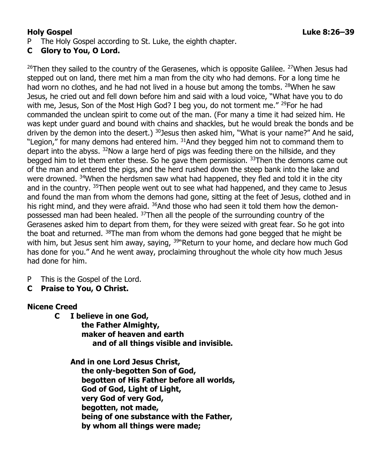## **C Glory to You, O Lord.**

 $26$ Then they sailed to the country of the Gerasenes, which is opposite Galilee.  $27$ When Jesus had stepped out on land, there met him a man from the city who had demons. For a long time he had worn no clothes, and he had not lived in a house but among the tombs. <sup>28</sup>When he saw Jesus, he cried out and fell down before him and said with a loud voice, "What have you to do with me, Jesus, Son of the Most High God? I beg you, do not torment me." <sup>29</sup>For he had commanded the unclean spirit to come out of the man. (For many a time it had seized him. He was kept under guard and bound with chains and shackles, but he would break the bonds and be driven by the demon into the desert.) <sup>30</sup> Jesus then asked him, "What is your name?" And he said, "Legion," for many demons had entered him. <sup>31</sup>And they begged him not to command them to depart into the abyss. <sup>32</sup>Now a large herd of pigs was feeding there on the hillside, and they begged him to let them enter these. So he gave them permission. <sup>33</sup>Then the demons came out of the man and entered the pigs, and the herd rushed down the steep bank into the lake and were drowned. <sup>34</sup>When the herdsmen saw what had happened, they fled and told it in the city and in the country. <sup>35</sup>Then people went out to see what had happened, and they came to Jesus and found the man from whom the demons had gone, sitting at the feet of Jesus, clothed and in his right mind, and they were afraid.  $36$ And those who had seen it told them how the demonpossessed man had been healed. <sup>37</sup>Then all the people of the surrounding country of the Gerasenes asked him to depart from them, for they were seized with great fear. So he got into the boat and returned. <sup>38</sup>The man from whom the demons had gone begged that he might be with him, but Jesus sent him away, saying, <sup>39</sup>"Return to your home, and declare how much God has done for you." And he went away, proclaiming throughout the whole city how much Jesus had done for him.

- P This is the Gospel of the Lord.
- **C Praise to You, O Christ.**

## **Nicene Creed**

**C I believe in one God, the Father Almighty, maker of heaven and earth and of all things visible and invisible.**

**And in one Lord Jesus Christ, the only-begotten Son of God, begotten of His Father before all worlds, God of God, Light of Light, very God of very God, begotten, not made, being of one substance with the Father, by whom all things were made;**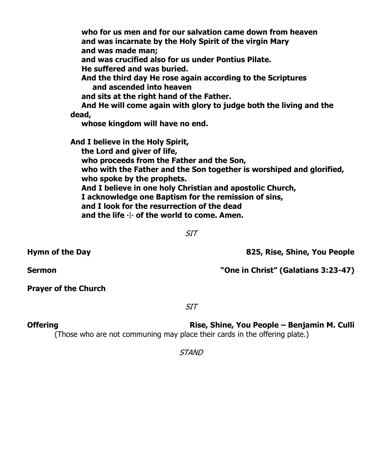**who for us men and for our salvation came down from heaven and was incarnate by the Holy Spirit of the virgin Mary and was made man; and was crucified also for us under Pontius Pilate. He suffered and was buried. And the third day He rose again according to the Scriptures and ascended into heaven and sits at the right hand of the Father. And He will come again with glory to judge both the living and the dead, whose kingdom will have no end. And I believe in the Holy Spirit, the Lord and giver of life, who proceeds from the Father and the Son, who with the Father and the Son together is worshiped and glorified, who spoke by the prophets. And I believe in one holy Christian and apostolic Church, I acknowledge one Baptism for the remission of sins, and I look for the resurrection of the dead and the life** T **of the world to come. Amen.**

SIT

**Hymn of the Day 825, Rise, Shine, You People**

**Sermon "One in Christ" (Galatians 3:23-47)**

**Prayer of the Church**

SIT

**Offering Rise, Shine, You People – Benjamin M. Culli** (Those who are not communing may place their cards in the offering plate.)

**STAND**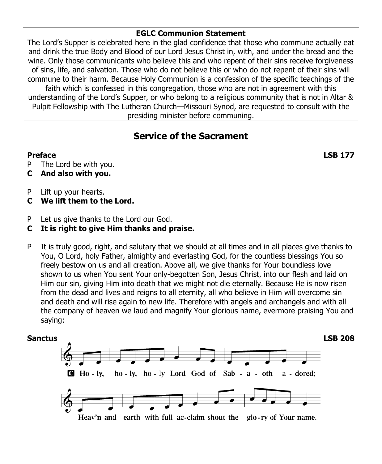## **EGLC Communion Statement**

The Lord's Supper is celebrated here in the glad confidence that those who commune actually eat and drink the true Body and Blood of our Lord Jesus Christ in, with, and under the bread and the wine. Only those communicants who believe this and who repent of their sins receive forgiveness of sins, life, and salvation. Those who do not believe this or who do not repent of their sins will commune to their harm. Because Holy Communion is a confession of the specific teachings of the faith which is confessed in this congregation, those who are not in agreement with this understanding of the Lord's Supper, or who belong to a religious community that is not in Altar & Pulpit Fellowship with The Lutheran Church—Missouri Synod, are requested to consult with the presiding minister before communing.

## **Service of the Sacrament**

P The Lord be with you.

- **C And also with you.**
- P Lift up your hearts.
- **C We lift them to the Lord.**
- P Let us give thanks to the Lord our God.

## **C It is right to give Him thanks and praise.**

P It is truly good, right, and salutary that we should at all times and in all places give thanks to You, O Lord, holy Father, almighty and everlasting God, for the countless blessings You so freely bestow on us and all creation. Above all, we give thanks for Your boundless love shown to us when You sent Your only-begotten Son, Jesus Christ, into our flesh and laid on Him our sin, giving Him into death that we might not die eternally. Because He is now risen from the dead and lives and reigns to all eternity, all who believe in Him will overcome sin and death and will rise again to new life. Therefore with angels and archangels and with all the company of heaven we laud and magnify Your glorious name, evermore praising You and saying:



**Preface LSB 177**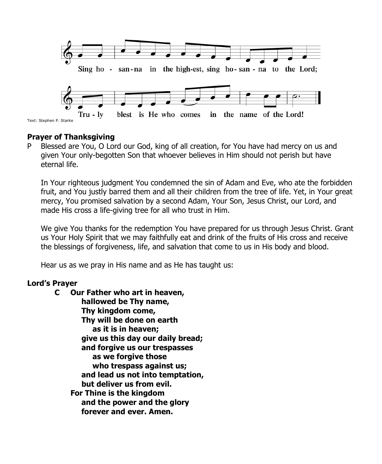

## **Prayer of Thanksgiving**

P Blessed are You, O Lord our God, king of all creation, for You have had mercy on us and given Your only-begotten Son that whoever believes in Him should not perish but have eternal life.

In Your righteous judgment You condemned the sin of Adam and Eve, who ate the forbidden fruit, and You justly barred them and all their children from the tree of life. Yet, in Your great mercy, You promised salvation by a second Adam, Your Son, Jesus Christ, our Lord, and made His cross a life-giving tree for all who trust in Him.

We give You thanks for the redemption You have prepared for us through Jesus Christ. Grant us Your Holy Spirit that we may faithfully eat and drink of the fruits of His cross and receive the blessings of forgiveness, life, and salvation that come to us in His body and blood.

Hear us as we pray in His name and as He has taught us:

## **Lord's Prayer**

**C Our Father who art in heaven, hallowed be Thy name, Thy kingdom come, Thy will be done on earth as it is in heaven; give us this day our daily bread; and forgive us our trespasses as we forgive those who trespass against us; and lead us not into temptation, but deliver us from evil. For Thine is the kingdom and the power and the glory forever and ever. Amen.**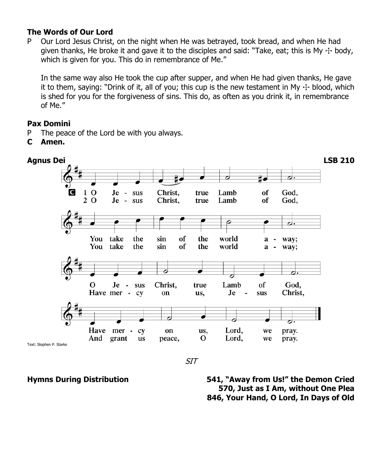## **The Words of Our Lord**

P Our Lord Jesus Christ, on the night when He was betrayed, took bread, and when He had given thanks, He broke it and gave it to the disciples and said: "Take, eat; this is My  $\pm$  body, which is given for you. This do in remembrance of Me."

In the same way also He took the cup after supper, and when He had given thanks, He gave it to them, saying: "Drink of it, all of you; this cup is the new testament in My  $\pm$  blood, which is shed for you for the forgiveness of sins. This do, as often as you drink it, in remembrance of Me."

## **Pax Domini**

- P The peace of the Lord be with you always.
- **C Amen.**



SIT

**Hymns During Distribution 541, "Away from Us!" the Demon Cried 570, Just as I Am, without One Plea 846, Your Hand, O Lord, In Days of Old**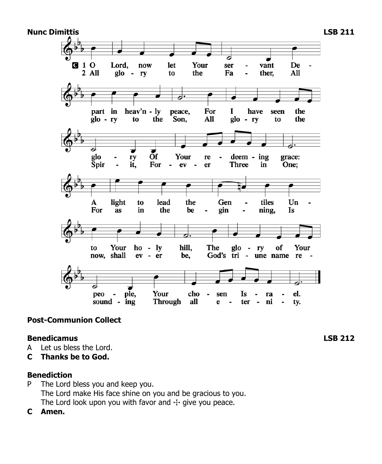

## **Post-Communion Collect**

### **Benedicamus LSB 212**

- A Let us bless the Lord.
- **C Thanks be to God.**

### **Benediction**

- P The Lord bless you and keep you. The Lord make His face shine on you and be gracious to you. The Lord look upon you with favor and  $\pm$  give you peace.
- **C Amen.**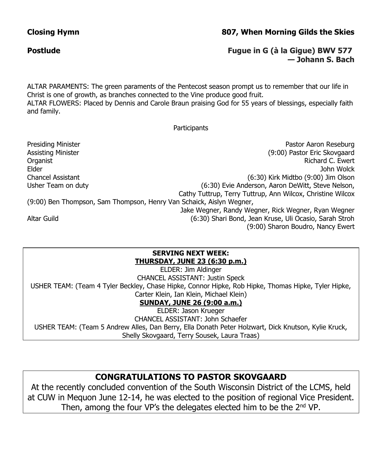## **Closing Hymn 807, When Morning Gilds the Skies**

## **Postlude Fugue in G (à la Gigue) BWV 577 — Johann S. Bach**

ALTAR PARAMENTS: The green paraments of the Pentecost season prompt us to remember that our life in Christ is one of growth, as branches connected to the Vine produce good fruit. ALTAR FLOWERS: Placed by Dennis and Carole Braun praising God for 55 years of blessings, especially faith and family.

### **Participants**

Presiding Minister **Presiding Minister Pastor Aaron Research** Pastor Aaron Reseburg Assisting Minister (9:00) Pastor Eric Skovgaard Organist Richard C. Ewert Elder John Wolck Chancel Assistant (6:30) Kirk Midtbo (9:00) Jim Olson Usher Team on duty (6:30) Evie Anderson, Aaron DeWitt, Steve Nelson, Cathy Tuttrup, Terry Tuttrup, Ann Wilcox, Christine Wilcox (9:00) Ben Thompson, Sam Thompson, Henry Van Schaick, Aislyn Wegner, Jake Wegner, Randy Wegner, Rick Wegner, Ryan Wegner Altar Guild (6:30) Shari Bond, Jean Kruse, Uli Ocasio, Sarah Stroh (9:00) Sharon Boudro, Nancy Ewert

### **SERVING NEXT WEEK: THURSDAY, JUNE 23 (6:30 p.m.)**

ELDER: Jim Aldinger CHANCEL ASSISTANT: Justin Speck USHER TEAM: (Team 4 Tyler Beckley, Chase Hipke, Connor Hipke, Rob Hipke, Thomas Hipke, Tyler Hipke, Carter Klein, Ian Klein, Michael Klein) **SUNDAY, JUNE 26 (9:00 a.m.)**

ELDER: Jason Krueger CHANCEL ASSISTANT: John Schaefer USHER TEAM: (Team 5 Andrew Alles, Dan Berry, Ella Donath Peter Holzwart, Dick Knutson, Kylie Kruck, Shelly Skovgaard, Terry Sousek, Laura Traas)

## **CONGRATULATIONS TO PASTOR SKOVGAARD**

At the recently concluded convention of the South Wisconsin District of the LCMS, held at CUW in Mequon June 12-14, he was elected to the position of regional Vice President. Then, among the four VP's the delegates elected him to be the 2<sup>nd</sup> VP.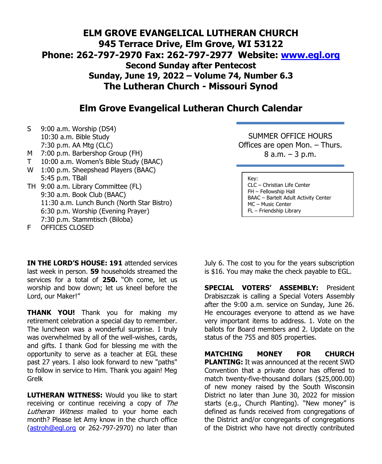## **ELM GROVE EVANGELICAL LUTHERAN CHURCH 945 Terrace Drive, Elm Grove, WI 53122 Phone: 262-797-2970 Fax: 262-797-2977 Website: [www.egl.org](http://www.egl.org/) Second Sunday after Pentecost Sunday, June 19, 2022 – Volume 74, Number 6.3 The Lutheran Church - Missouri Synod**

## **Elm Grove Evangelical Lutheran Church Calendar**

- S 9:00 a.m. Worship (DS4) 10:30 a.m. Bible Study 7:30 p.m. AA Mtg (CLC)
- M 7:00 p.m. Barbershop Group (FH)
- T 10:00 a.m. Women's Bible Study (BAAC)
- W 1:00 p.m. Sheepshead Players (BAAC) 5:45 p.m. TBall
- TH 9:00 a.m. Library Committee (FL) 9:30 a.m. Book Club (BAAC) 11:30 a.m. Lunch Bunch (North Star Bistro) 6:30 p.m. Worship (Evening Prayer) 7:30 p.m. Stammtisch (Biloba)

F OFFICES CLOSED

**IN THE LORD'S HOUSE: 191** attended services last week in person. **59** households streamed the services for a total of **250.** "Oh come, let us worship and bow down; let us kneel before the Lord, our Maker!"

**THANK YOU!** Thank you for making my retirement celebration a special day to remember. The luncheon was a wonderful surprise. I truly was overwhelmed by all of the well-wishes, cards, and gifts. I thank God for blessing me with the opportunity to serve as a teacher at EGL these past 27 years. I also look forward to new "paths" to follow in service to Him. Thank you again! Meg Grelk

**LUTHERAN WITNESS:** Would you like to start receiving or continue receiving a copy of The Lutheran Witness mailed to your home each month? Please let Amy know in the church office [\(astroh@egl.org](mailto:astroh@egl.org) or 262-797-2970) no later than

SUMMER OFFICE HOURS Offices are open Mon. – Thurs. 8 a.m. – 3 p.m.

Key: CLC – Christian Life Center FH – Fellowship Hall BAAC – Bartelt Adult Activity Center MC – Music Center FL – Friendship Library

July 6. The cost to you for the years subscription is \$16. You may make the check payable to EGL.

**SPECIAL VOTERS' ASSEMBLY:** President Drabiszczak is calling a Special Voters Assembly after the 9:00 a.m. service on Sunday, June 26. He encourages everyone to attend as we have very important items to address. 1. Vote on the ballots for Board members and 2. Update on the status of the 755 and 805 properties.

**MATCHING MONEY FOR CHURCH PLANTING:** It was announced at the recent SWD Convention that a private donor has offered to match twenty-five-thousand dollars (\$25,000.00) of new money raised by the South Wisconsin District no later than June 30, 2022 for mission starts (e.g., Church Planting). "New money" is defined as funds received from congregations of the District and/or congregants of congregations of the District who have not directly contributed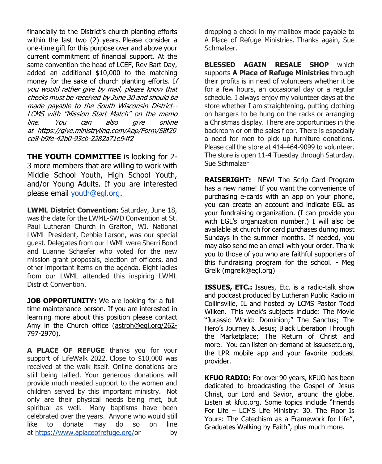financially to the District's church planting efforts within the last two (2) years. Please consider a one-time gift for this purpose over and above your current commitment of financial support. At the same convention the head of LCEF, Rev Bart Day, added an additional \$10,000 to the matching money for the sake of church planting efforts. If you would rather give by mail, please know that checks must be received by June 30 and should be made payable to the South Wisconsin District-- LCMS with "Mission Start Match" on the memo line. You can also give online at [https://give.ministrylinq.com/App/Form/58f20](https://give.ministrylinq.com/App/Form/58f20ce8-b9fe-42b0-93cb-2282a71e94f2) [ce8-b9fe-42b0-93cb-2282a71e94f2](https://give.ministrylinq.com/App/Form/58f20ce8-b9fe-42b0-93cb-2282a71e94f2)

**THE YOUTH COMMITTEE** is looking for 2- 3 more members that are willing to work with Middle School Youth, High School Youth, and/or Young Adults. If you are interested please email [youth@egl.org.](mailto:youth@egl.org)

**LWML District Convention:** Saturday, June 18, was the date for the LWML-SWD Convention at St. Paul Lutheran Church in Grafton, WI. National LWML President, Debbie Larson, was our special guest. Delegates from our LWML were Sherri Bond and Luanne Schaefer who voted for the new mission grant proposals, election of officers, and other important items on the agenda. Eight ladies from our LWML attended this inspiring LWML District Convention.

**JOB OPPORTUNITY:** We are looking for a fulltime maintenance person. If you are interested in learning more about this position please contact Amy in the Church office [\(astroh@egl.org/262-](mailto:astroh@egl.org/262-797-2970) [797-2970\)](mailto:astroh@egl.org/262-797-2970).

**A PLACE OF REFUGE** thanks you for your support of LifeWalk 2022. Close to \$10,000 was received at the walk itself. Online donations are still being tallied. Your generous donations will provide much needed support to the women and children served by this important ministry. Not only are their physical needs being met, but spiritual as well. Many baptisms have been celebrated over the years. Anyone who would still like to donate may do so on line at [https://www.aplaceofrefuge.org/o](https://www.aplaceofrefuge.org/)r by

dropping a check in my mailbox made payable to A Place of Refuge Ministries. Thanks again, Sue Schmalzer.

**BLESSED AGAIN RESALE SHOP** which supports **A Place of Refuge Ministries** through their profits is in need of volunteers whether it be for a few hours, an occasional day or a regular schedule. I always enjoy my volunteer days at the store whether I am straightening, putting clothing on hangers to be hung on the racks or arranging a Christmas display. There are opportunities in the backroom or on the sales floor. There is especially a need for men to pick up furniture donations. Please call the store at 414-464-9099 to volunteer. The store is open 11-4 Tuesday through Saturday. Sue Schmalzer

**RAISERIGHT:** NEW! The Scrip Card Program has a new name! If you want the convenience of purchasing e-cards with an app on your phone, you can create an account and indicate EGL as your fundraising organization. (I can provide you with EGL's organization number.) I will also be available at church for card purchases during most Sundays in the summer months. If needed, you may also send me an email with your order. Thank you to those of you who are faithful supporters of this fundraising program for the school. - Meg Grelk (mgrelk@egl.org)

**ISSUES, ETC.:** Issues, Etc. is a radio-talk show and podcast produced by Lutheran Public Radio in Collinsville, IL and hosted by LCMS Pastor Todd Wilken. This week's subjects include: The Movie "Jurassic World: Dominion;" The Sanctus; The Hero's Journey & Jesus; Black Liberation Through the Marketplace; The Return of Christ and more. You can listen on-demand at [issuesetc.org,](https://r20.rs6.net/tn.jsp?f=001H7XL_eFhgJKe3Iuc4YOND2mZhDiUPEDHJHRWGch0RUVEXdO1PRjcoUBRLpYdFGgUkRW5qLYRweIyd6WbyLpqwLeVsoCdsb21e3cmj0vjGFH92IpqMZ5liIqc5uQD8UA3xaqE26B_ogp84kkcYf03tw==&c=61pAZhijvbyFR8Lz3Cdecn8N9EMzgh97lW7cxaH-yGhndFHd_RJLdw==&ch=aB8V72dHBvoJeFNU_dgSfNbDreMaCqSpf_onYnNUzzGvJZx_Ii_TAw==) the LPR mobile app and your favorite podcast provider.

**KFUO RADIO:** For over 90 years, KFUO has been dedicated to broadcasting the Gospel of Jesus Christ, our Lord and Savior, around the globe. Listen at kfuo.org. Some topics include "Friends For Life – LCMS Life Ministry: 30. The Floor Is Yours: The Catechism as a Framework for Life", Graduates Walking by Faith", plus much more.